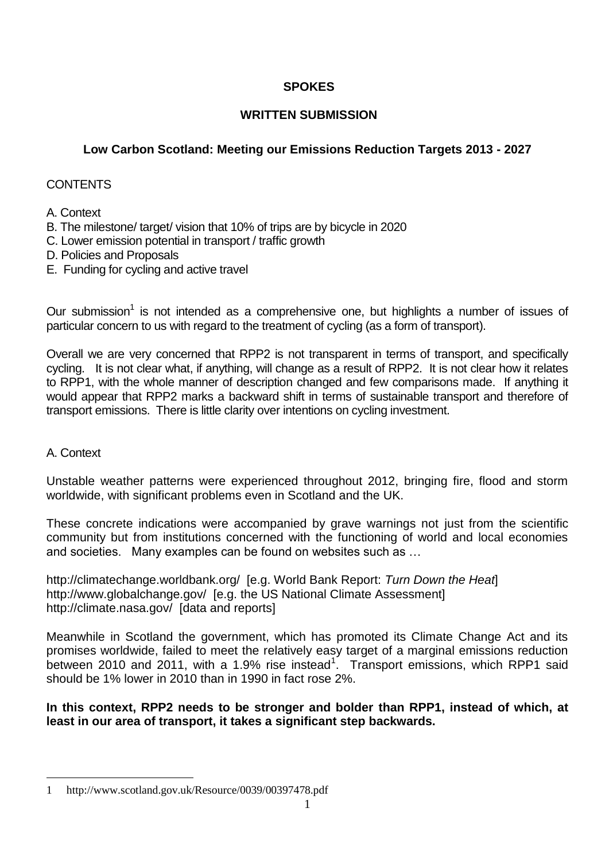# **SPOKES**

# **WRITTEN SUBMISSION**

# **Low Carbon Scotland: Meeting our Emissions Reduction Targets 2013 - 2027**

# **CONTENTS**

# A. Context

- B. The milestone/ target/ vision that 10% of trips are by bicycle in 2020
- C. Lower emission potential in transport / traffic growth
- D. Policies and Proposals
- E. Funding for cycling and active travel

Our submission<sup>1</sup> is not intended as a comprehensive one, but highlights a number of issues of particular concern to us with regard to the treatment of cycling (as a form of transport).

Overall we are very concerned that RPP2 is not transparent in terms of transport, and specifically cycling. It is not clear what, if anything, will change as a result of RPP2. It is not clear how it relates to RPP1, with the whole manner of description changed and few comparisons made. If anything it would appear that RPP2 marks a backward shift in terms of sustainable transport and therefore of transport emissions. There is little clarity over intentions on cycling investment.

### A. Context

1

Unstable weather patterns were experienced throughout 2012, bringing fire, flood and storm worldwide, with significant problems even in Scotland and the UK.

These concrete indications were accompanied by grave warnings not just from the scientific community but from institutions concerned with the functioning of world and local economies and societies. Many examples can be found on websites such as …

http://climatechange.worldbank.org/ [e.g. World Bank Report: *Turn Down the Heat*] http://www.globalchange.gov/ [e.g. the US National Climate Assessment] http://climate.nasa.gov/ [data and reports]

Meanwhile in Scotland the government, which has promoted its Climate Change Act and its promises worldwide, failed to meet the relatively easy target of a marginal emissions reduction between 2010 and 2011, with a 1.9% rise instead<sup>1</sup>. Transport emissions, which RPP1 said should be 1% lower in 2010 than in 1990 in fact rose 2%.

### **In this context, RPP2 needs to be stronger and bolder than RPP1, instead of which, at least in our area of transport, it takes a significant step backwards.**

<sup>1</sup> http://www.scotland.gov.uk/Resource/0039/00397478.pdf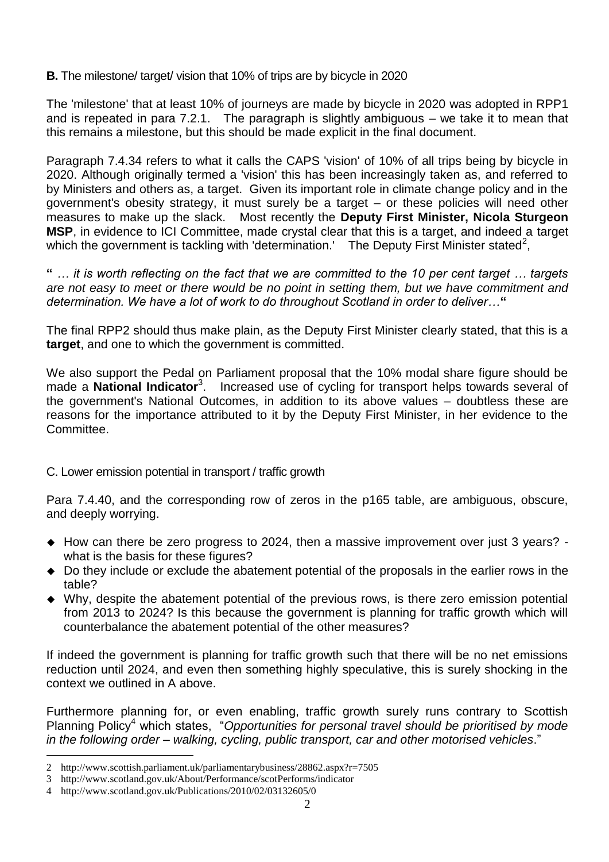# **B.** The milestone/ target/ vision that 10% of trips are by bicycle in 2020

The 'milestone' that at least 10% of journeys are made by bicycle in 2020 was adopted in RPP1 and is repeated in para 7.2.1. The paragraph is slightly ambiguous – we take it to mean that this remains a milestone, but this should be made explicit in the final document.

Paragraph 7.4.34 refers to what it calls the CAPS 'vision' of 10% of all trips being by bicycle in 2020. Although originally termed a 'vision' this has been increasingly taken as, and referred to by Ministers and others as, a target. Given its important role in climate change policy and in the government's obesity strategy, it must surely be a target – or these policies will need other measures to make up the slack. Most recently the **Deputy First Minister, Nicola Sturgeon MSP**, in evidence to ICI Committee, made crystal clear that this is a target, and indeed a target which the government is tackling with 'determination.' The Deputy First Minister stated<sup>2</sup>,

**"** *… it is worth reflecting on the fact that we are committed to the 10 per cent target … targets are not easy to meet or there would be no point in setting them, but we have commitment and determination. We have a lot of work to do throughout Scotland in order to deliver…***"**

The final RPP2 should thus make plain, as the Deputy First Minister clearly stated, that this is a **target**, and one to which the government is committed.

We also support the Pedal on Parliament proposal that the 10% modal share figure should be made a **National Indicator**<sup>3</sup>. Increased use of cycling for transport helps towards several of the government's National Outcomes, in addition to its above values – doubtless these are reasons for the importance attributed to it by the Deputy First Minister, in her evidence to the Committee.

### C. Lower emission potential in transport / traffic growth

Para 7.4.40, and the corresponding row of zeros in the p165 table, are ambiguous, obscure, and deeply worrying.

- How can there be zero progress to 2024, then a massive improvement over just 3 years? what is the basis for these figures?
- Do they include or exclude the abatement potential of the proposals in the earlier rows in the table?
- Why, despite the abatement potential of the previous rows, is there zero emission potential from 2013 to 2024? Is this because the government is planning for traffic growth which will counterbalance the abatement potential of the other measures?

If indeed the government is planning for traffic growth such that there will be no net emissions reduction until 2024, and even then something highly speculative, this is surely shocking in the context we outlined in A above.

Furthermore planning for, or even enabling, traffic growth surely runs contrary to Scottish Planning Policy<sup>4</sup> which states, "*Opportunities for personal travel should be prioritised by mode in the following order – walking, cycling, public transport, car and other motorised vehicles*."

1

<sup>2</sup> http://www.scottish.parliament.uk/parliamentarybusiness/28862.aspx?r=7505

<sup>3</sup> http://www.scotland.gov.uk/About/Performance/scotPerforms/indicator

<sup>4</sup> http://www.scotland.gov.uk/Publications/2010/02/03132605/0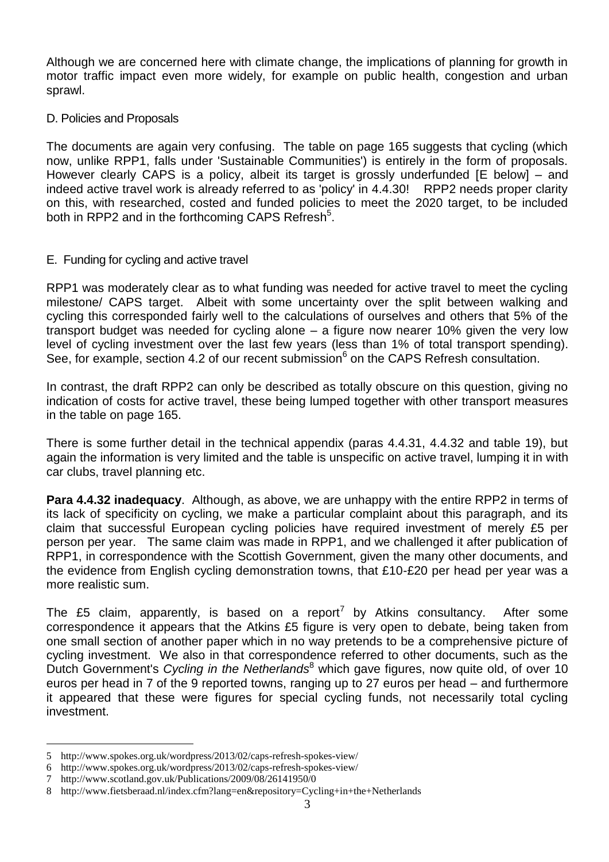Although we are concerned here with climate change, the implications of planning for growth in motor traffic impact even more widely, for example on public health, congestion and urban sprawl.

#### D. Policies and Proposals

The documents are again very confusing. The table on page 165 suggests that cycling (which now, unlike RPP1, falls under 'Sustainable Communities') is entirely in the form of proposals. However clearly CAPS is a policy, albeit its target is grossly underfunded [E below] – and indeed active travel work is already referred to as 'policy' in 4.4.30! RPP2 needs proper clarity on this, with researched, costed and funded policies to meet the 2020 target, to be included both in RPP2 and in the forthcoming CAPS Refresh<sup>5</sup>.

### E. Funding for cycling and active travel

RPP1 was moderately clear as to what funding was needed for active travel to meet the cycling milestone/ CAPS target. Albeit with some uncertainty over the split between walking and cycling this corresponded fairly well to the calculations of ourselves and others that 5% of the transport budget was needed for cycling alone – a figure now nearer 10% given the very low level of cycling investment over the last few years (less than 1% of total transport spending). See, for example, section 4.2 of our recent submission<sup>6</sup> on the CAPS Refresh consultation.

In contrast, the draft RPP2 can only be described as totally obscure on this question, giving no indication of costs for active travel, these being lumped together with other transport measures in the table on page 165.

There is some further detail in the technical appendix (paras 4.4.31, 4.4.32 and table 19), but again the information is very limited and the table is unspecific on active travel, lumping it in with car clubs, travel planning etc.

**Para 4.4.32 inadequacy**. Although, as above, we are unhappy with the entire RPP2 in terms of its lack of specificity on cycling, we make a particular complaint about this paragraph, and its claim that successful European cycling policies have required investment of merely £5 per person per year. The same claim was made in RPP1, and we challenged it after publication of RPP1, in correspondence with the Scottish Government, given the many other documents, and the evidence from English cycling demonstration towns, that £10-£20 per head per year was a more realistic sum.

The £5 claim, apparently, is based on a report<sup>7</sup> by Atkins consultancy. After some correspondence it appears that the Atkins £5 figure is very open to debate, being taken from one small section of another paper which in no way pretends to be a comprehensive picture of cycling investment. We also in that correspondence referred to other documents, such as the Dutch Government's *Cycling in the Netherlands*<sup>8</sup> which gave figures, now quite old, of over 10 euros per head in 7 of the 9 reported towns, ranging up to 27 euros per head – and furthermore it appeared that these were figures for special cycling funds, not necessarily total cycling investment.

<u>.</u>

<sup>5</sup> http://www.spokes.org.uk/wordpress/2013/02/caps-refresh-spokes-view/

<sup>6</sup> http://www.spokes.org.uk/wordpress/2013/02/caps-refresh-spokes-view/

<sup>7</sup> http://www.scotland.gov.uk/Publications/2009/08/26141950/0

<sup>8</sup> http://www.fietsberaad.nl/index.cfm?lang=en&repository=Cycling+in+the+Netherlands